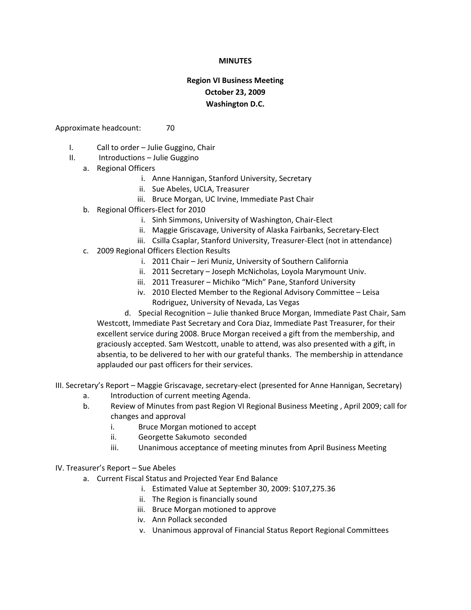## **MINUTES**

## **Region VI Business Meeting October 23, 2009 Washington D.C.**

Approximate headcount: 70

- I. Call to order Julie Guggino, Chair
- II. Introductions Julie Guggino
	- a. Regional Officers
		- i. Anne Hannigan, Stanford University, Secretary
		- ii. Sue Abeles, UCLA, Treasurer
		- iii. Bruce Morgan, UC Irvine, Immediate Past Chair
	- b. Regional Officers‐Elect for 2010
		- i. Sinh Simmons, University of Washington, Chair‐Elect
		- ii. Maggie Griscavage, University of Alaska Fairbanks, Secretary‐Elect
		- iii. Csilla Csaplar, Stanford University, Treasurer-Elect (not in attendance)
	- c. 2009 Regional Officers Election Results
		- i. 2011 Chair Jeri Muniz, University of Southern California
		- ii. 2011 Secretary Joseph McNicholas, Loyola Marymount Univ.
		- iii. 2011 Treasurer Michiko "Mich" Pane, Stanford University
		- iv. 2010 Elected Member to the Regional Advisory Committee Leisa Rodriguez, University of Nevada, Las Vegas

d. Special Recognition – Julie thanked Bruce Morgan, Immediate Past Chair, Sam Westcott, Immediate Past Secretary and Cora Diaz, Immediate Past Treasurer, for their excellent service during 2008. Bruce Morgan received a gift from the membership, and graciously accepted. Sam Westcott, unable to attend, was also presented with a gift, in absentia, to be delivered to her with our grateful thanks. The membership in attendance applauded our past officers for their services.

III. Secretary's Report – Maggie Griscavage, secretary‐elect (presented for Anne Hannigan, Secretary)

- a. Introduction of current meeting Agenda.
- b. Review of Minutes from past Region VI Regional Business Meeting , April 2009; call for changes and approval
	- i. Bruce Morgan motioned to accept
	- ii. Georgette Sakumoto seconded
	- iii. Unanimous acceptance of meeting minutes from April Business Meeting
- IV. Treasurer's Report Sue Abeles
	- a. Current Fiscal Status and Projected Year End Balance
		- i. Estimated Value at September 30, 2009: \$107,275.36
		- ii. The Region is financially sound
		- iii. Bruce Morgan motioned to approve
		- iv. Ann Pollack seconded
		- v. Unanimous approval of Financial Status Report Regional Committees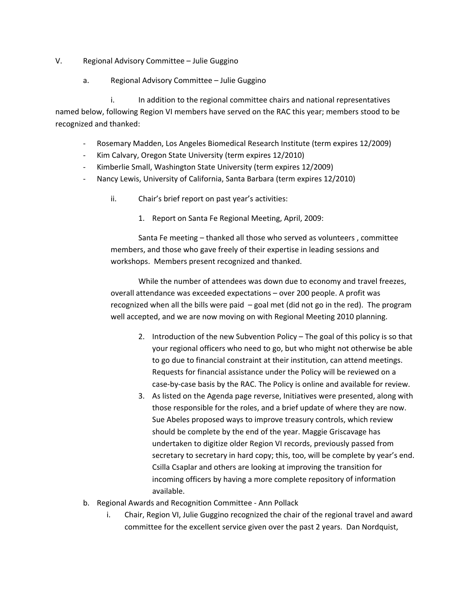- V. Regional Advisory Committee Julie Guggino
	- a. Regional Advisory Committee Julie Guggino

 i. In addition to the regional committee chairs and national representatives named below, following Region VI members have served on the RAC this year; members stood to be recognized and thanked:

- ‐ Rosemary Madden, Los Angeles Biomedical Research Institute (term expires 12/2009)
- ‐ Kim Calvary, Oregon State University (term expires 12/2010)
- ‐ Kimberlie Small, Washington State University (term expires 12/2009)
- ‐ Nancy Lewis, University of California, Santa Barbara (term expires 12/2010)
	- ii. Chair's brief report on past year's activities:
		- 1. Report on Santa Fe Regional Meeting, April, 2009:

Santa Fe meeting – thanked all those who served as volunteers , committee members, and those who gave freely of their expertise in leading sessions and workshops. Members present recognized and thanked.

While the number of attendees was down due to economy and travel freezes, overall attendance was exceeded expectations – over 200 people. A profit was recognized when all the bills were paid – goal met (did not go in the red). The program well accepted, and we are now moving on with Regional Meeting 2010 planning.

- 2. Introduction of the new Subvention Policy The goal of this policy is so that your regional officers who need to go, but who might not otherwise be able to go due to financial constraint at their institution, can attend meetings. Requests for financial assistance under the Policy will be reviewed on a case‐by‐case basis by the RAC. The Policy is online and available for review.
- 3. As listed on the Agenda page reverse, Initiatives were presented, along with those responsible for the roles, and a brief update of where they are now. Sue Abeles proposed ways to improve treasury controls, which review should be complete by the end of the year. Maggie Griscavage has undertaken to digitize older Region VI records, previously passed from secretary to secretary in hard copy; this, too, will be complete by year's end. Csilla Csaplar and others are looking at improving the transition for incoming officers by having a more complete repository of information available.
- b. Regional Awards and Recognition Committee ‐ Ann Pollack
	- i. Chair, Region VI, Julie Guggino recognized the chair of the regional travel and award committee for the excellent service given over the past 2 years. Dan Nordquist,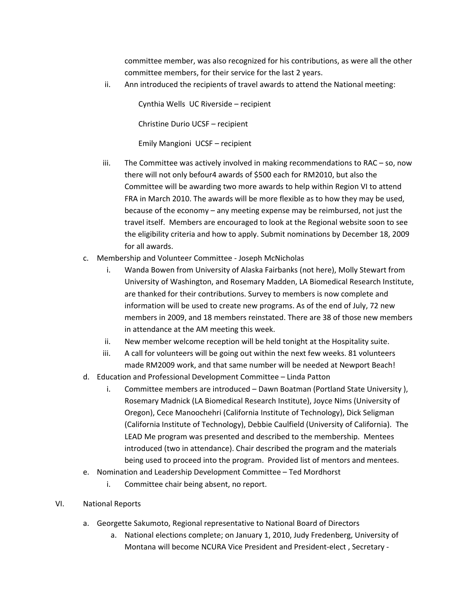committee member, was also recognized for his contributions, as were all the other committee members, for their service for the last 2 years.

ii. Ann introduced the recipients of travel awards to attend the National meeting:

Cynthia Wells UC Riverside – recipient

Christine Durio UCSF – recipient

Emily Mangioni UCSF – recipient

- iii. The Committee was actively involved in making recommendations to RAC so, now there will not only befour4 awards of \$500 each for RM2010, but also the Committee will be awarding two more awards to help within Region VI to attend FRA in March 2010. The awards will be more flexible as to how they may be used, because of the economy – any meeting expense may be reimbursed, not just the travel itself. Members are encouraged to look at the Regional website soon to see the eligibility criteria and how to apply. Submit nominations by December 18, 2009 for all awards.
- c. Membership and Volunteer Committee ‐ Joseph McNicholas
	- i. Wanda Bowen from University of Alaska Fairbanks (not here), Molly Stewart from University of Washington, and Rosemary Madden, LA Biomedical Research Institute, are thanked for their contributions. Survey to members is now complete and information will be used to create new programs. As of the end of July, 72 new members in 2009, and 18 members reinstated. There are 38 of those new members in attendance at the AM meeting this week.
	- ii. New member welcome reception will be held tonight at the Hospitality suite.
	- iii. A call for volunteers will be going out within the next few weeks. 81 volunteers made RM2009 work, and that same number will be needed at Newport Beach!
- d. Education and Professional Development Committee Linda Patton
	- i. Committee members are introduced Dawn Boatman (Portland State University ), Rosemary Madnick (LA Biomedical Research Institute), Joyce Nims (University of Oregon), Cece Manoochehri (California Institute of Technology), Dick Seligman (California Institute of Technology), Debbie Caulfield (University of California). The LEAD Me program was presented and described to the membership. Mentees introduced (two in attendance). Chair described the program and the materials being used to proceed into the program. Provided list of mentors and mentees.
- e. Nomination and Leadership Development Committee Ted Mordhorst
	- i. Committee chair being absent, no report.
- VI. National Reports
	- a. Georgette Sakumoto, Regional representative to National Board of Directors
		- a. National elections complete; on January 1, 2010, Judy Fredenberg, University of Montana will become NCURA Vice President and President‐elect , Secretary ‐